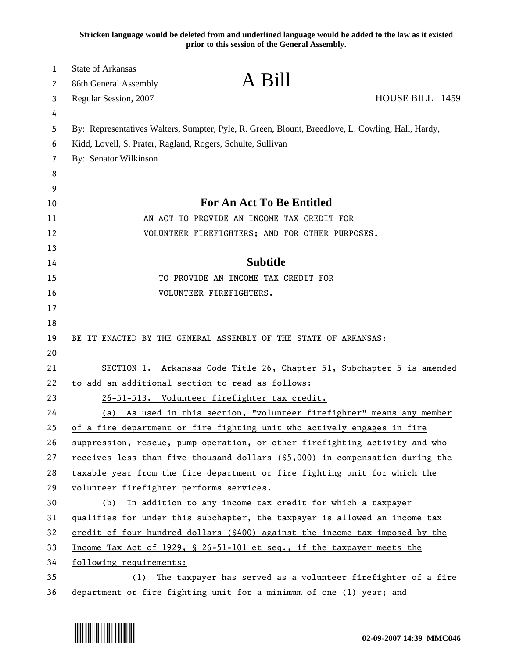**Stricken language would be deleted from and underlined language would be added to the law as it existed prior to this session of the General Assembly.**

| 1<br>2   | <b>State of Arkansas</b><br>A Bill<br>86th General Assembly                                       |  |
|----------|---------------------------------------------------------------------------------------------------|--|
| 3        | HOUSE BILL 1459<br>Regular Session, 2007                                                          |  |
| 4        |                                                                                                   |  |
| 5        | By: Representatives Walters, Sumpter, Pyle, R. Green, Blount, Breedlove, L. Cowling, Hall, Hardy, |  |
| 6        | Kidd, Lovell, S. Prater, Ragland, Rogers, Schulte, Sullivan                                       |  |
| 7        | By: Senator Wilkinson                                                                             |  |
| 8        |                                                                                                   |  |
| 9        |                                                                                                   |  |
| 10       | For An Act To Be Entitled                                                                         |  |
| 11       | AN ACT TO PROVIDE AN INCOME TAX CREDIT FOR                                                        |  |
| 12       | VOLUNTEER FIREFIGHTERS; AND FOR OTHER PURPOSES.                                                   |  |
| 13       |                                                                                                   |  |
| 14       | <b>Subtitle</b>                                                                                   |  |
| 15       | TO PROVIDE AN INCOME TAX CREDIT FOR                                                               |  |
| 16       | VOLUNTEER FIREFIGHTERS.                                                                           |  |
| 17       |                                                                                                   |  |
| 18       |                                                                                                   |  |
| 19       | BE IT ENACTED BY THE GENERAL ASSEMBLY OF THE STATE OF ARKANSAS:                                   |  |
| 20       |                                                                                                   |  |
| 21       | SECTION 1. Arkansas Code Title 26, Chapter 51, Subchapter 5 is amended                            |  |
| 22       | to add an additional section to read as follows:                                                  |  |
| 23       | 26-51-513. Volunteer firefighter tax credit.                                                      |  |
| 24       | As used in this section, "volunteer firefighter" means any member<br>(a)                          |  |
| 25       | of a fire department or fire fighting unit who actively engages in fire                           |  |
| 26       | suppression, rescue, pump operation, or other firefighting activity and who                       |  |
| 27       | receives less than five thousand dollars (\$5,000) in compensation during the                     |  |
| 28       | taxable year from the fire department or fire fighting unit for which the                         |  |
| 29       | volunteer firefighter performs services.                                                          |  |
| 30       | (b) In addition to any income tax credit for which a taxpayer                                     |  |
| 31       | qualifies for under this subchapter, the taxpayer is allowed an income tax                        |  |
| 32       | credit of four hundred dollars (\$400) against the income tax imposed by the                      |  |
| 33       | Income Tax Act of 1929, § 26-51-101 et seq., if the taxpayer meets the                            |  |
| 34       | following requirements:                                                                           |  |
| 35<br>36 | The taxpayer has served as a volunteer firefighter of a fire<br>(1)                               |  |
|          | department or fire fighting unit for a minimum of one (1) year; and                               |  |